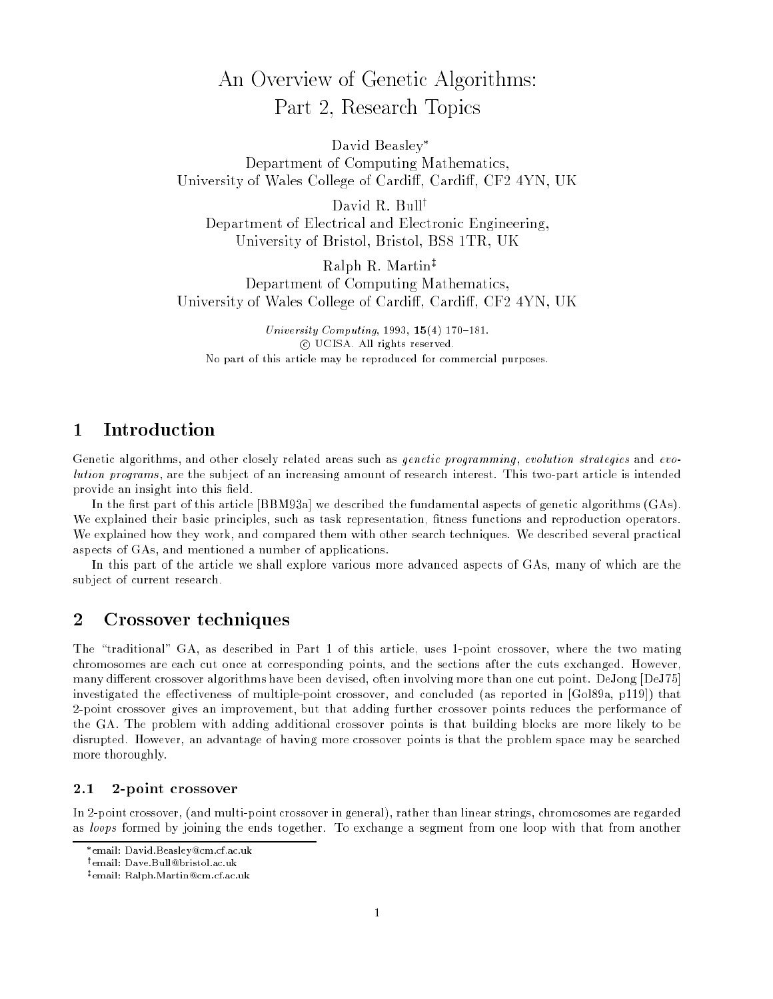# An Overview of Genetic Algorithms: Part 2, Research Topics

David Beasley Department of Computing Mathematics, University of Wales College of Cardi, Cardi, CF2 4YN, UK

David R. Bull<sup>†</sup> Department of Electrical and Electronic Engineering, University of Bristol, Bristol, BS8 1TR, UK

Ralph R. Martin<sup>‡</sup> Department of Computing Mathematics, University of Wales College of Cardi, Cardi, CF2 4YN, UK

University Computing, 1993,  $15(4)$  170-181. <sup>c</sup> UCISA. All rights reserved. No part of this article may be reproduced for commercial purposes.

#### 1Introduction

Genetic algorithms, and other closely related areas such as *genetic programming*, evolution strategies and evolution programs , are the subject of an increasing amount of research interest. This two-part article is intended provide an insight into this field.

In the first part of this article [BBM93a] we described the fundamental aspects of genetic algorithms  $(GAs)$ . We explained their basic principles, such as task representation, fitness functions and reproduction operators. We explained how they work, and compared them with other search techniques. We described several practical aspects of GAs, and mentioned a number of applications.

In this part of the article we shall explore various more advanced aspects of GAs, many of which are the subject of current research.

#### 2Crossover techniques

The "traditional" GA, as described in Part 1 of this article, uses 1-point crossover, where the two mating chromosomes are each cut once at corresponding points, and the sections after the cuts exchanged. However, many different crossover algorithms have been devised, often involving more than one cut point. DeJong [DeJ75] investigated the effectiveness of multiple-point crossover, and concluded (as reported in [Gol89a, p119]) that 2-point crossover gives an improvement, but that adding further crossover points reduces the performance of the GA. The problem with adding additional crossover points is that building blocks are more likely to be disrupted. However, an advantage of having more crossover points is that the problem space may be searched more thoroughly.

### 2.1 2-point crossover

In 2-point crossover, (and multi-point crossover in general), rather than linear strings, chromosomes are regarded as loops formed by joining the ends together. To exchange a segment from one loop with that from another

<sup>\*</sup>email: David.Beasley@cm.cf.ac.uk email: David.Beasley@cm.cf.ac.uk

<sup>y</sup> email: Dave.Bull@bristol.ac.uk

<sup>z</sup> email: Ralph.Martin@cm.cf.ac.uk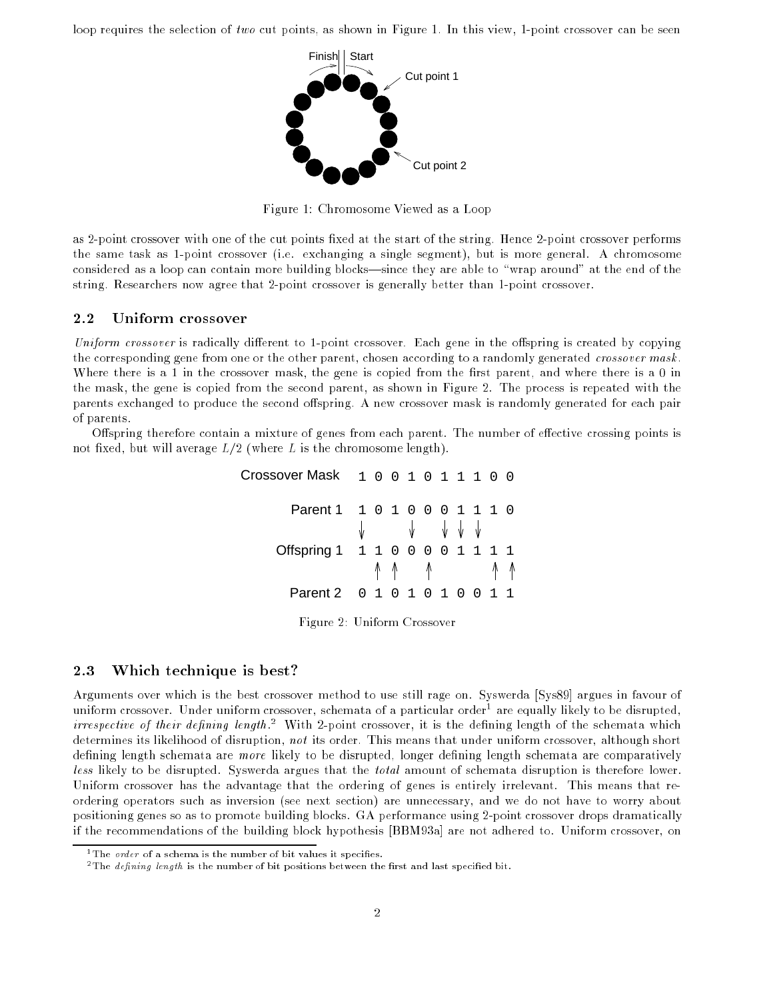loop requires the selection of two cut points, as shown in Figure 1. In this view, 1-point crossover can be seen



Figure 1: Chromosome Viewed as a Loop

as 2-point crossover with one of the cut points fixed at the start of the string. Hence 2-point crossover performs the same task as 1-point crossover (i.e. exchanging a single segment), but is more general. A chromosome considered as a loop can contain more building blocks—since they are able to "wrap around" at the end of the string. Researchers now agree that 2-point crossover is generally better than 1-point crossover.

### 2.2 Uniform crossover

Uniform crossover is radically different to 1-point crossover. Each gene in the offspring is created by copying the corresponding gene from one or the other parent, chosen according to a randomly generated crossover mask. Where there is a 1 in the crossover mask, the gene is copied from the first parent, and where there is a 0 in the mask, the gene is copied from the second parent, as shown in Figure 2. The process is repeated with the parents exchanged to produce the second offspring. A new crossover mask is randomly generated for each pair of parents.

Offspring therefore contain a mixture of genes from each parent. The number of effective crossing points is not fixed, but will average  $L/2$  (where L is the chromosome length).

| Crossover Mask 1001011100       |  |         |  |  |               |  |
|---------------------------------|--|---------|--|--|---------------|--|
| Parent 1 1 0 1 0 0 0 1 1 1 0    |  | J J J J |  |  |               |  |
| Offspring 1 1 1 0 0 0 0 1 1 1 1 |  |         |  |  | <u> ላላ</u> ላላ |  |
| Parent 2 0 1 0 1 0 1 0 0 1 1    |  |         |  |  |               |  |

Figure 2: Uniform Crossover

## 2.3 Which technique is best?

Arguments over which is the best crossover method to use still rage on. Syswerda [Sys89] argues in favour of uniform crossover. Under uniform crossover, schemata of a particular order1 are equally likely to be disrupted, *irrespective of their aejening tength*. With 2-point crossover, it is the defining length of the schemata which determines its likelihood of disruption, not its order. This means that under uniform crossover, although short defining length schemata are more likely to be disrupted, longer defining length schemata are comparatively less likely to be disrupted. Syswerda argues that the total amount of schemata disruption is therefore lower. Uniform crossover has the advantage that the ordering of genes is entirely irrelevant. This means that reordering operators such as inversion (see next section) are unnecessary, and we do not have to worry about positioning genes so as to promote building blocks. GA performance using 2-point crossover drops dramatically if the recommendations of the building block hypothesis [BBM93a] are not adhered to. Uniform crossover, on

<sup>&</sup>lt;sup>1</sup>The *order* of a schema is the number of bit values it specifies.

<sup>&</sup>lt;sup>2</sup>The *defining length* is the number of bit positions between the first and last specified bit.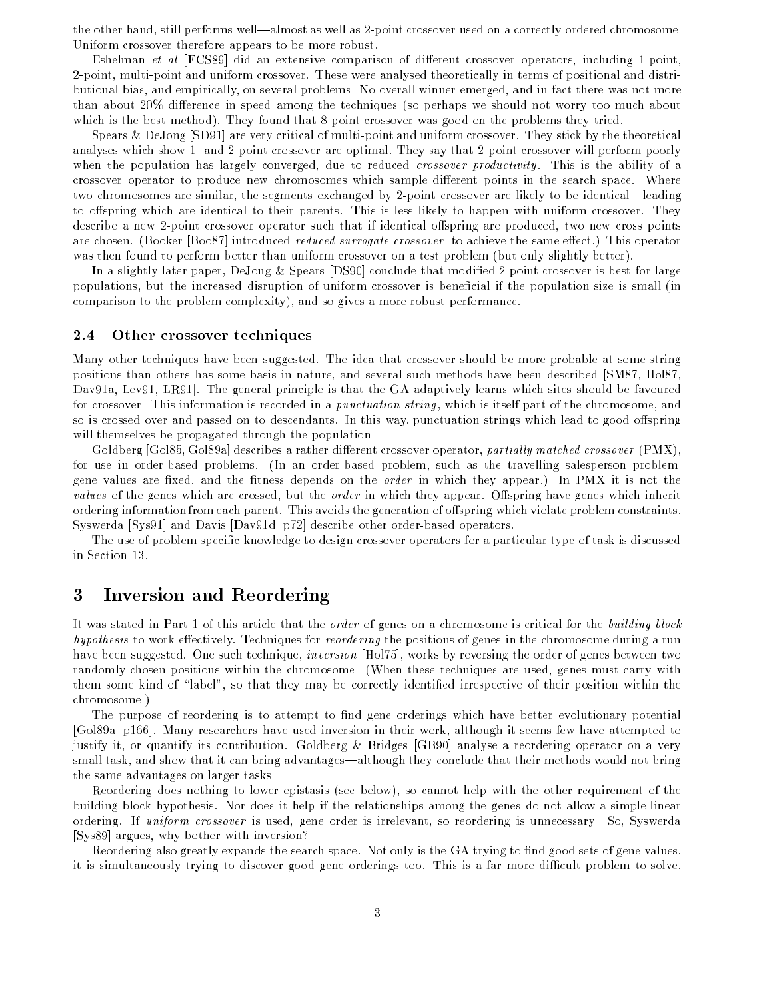the other hand, still performs well—almost as well as 2-point crossover used on a correctly ordered chromosome. Uniform crossover therefore appears to be more robust.

Eshelman *et al* [ECS89] did an extensive comparison of different crossover operators, including 1-point, 2-point, multi-point and uniform crossover. These were analysed theoretically in terms of positional and distributional bias, and empirically, on several problems. No overall winner emerged, and in fact there was not more than about 20% difference in speed among the techniques (so perhaps we should not worry too much about which is the best method). They found that 8-point crossover was good on the problems they tried.

Spears & DeJong [SD91] are very critical of multi-point and uniform crossover. They stick by the theoretical analyses which show 1- and 2-point crossover are optimal. They say that 2-point crossover will perform poorly when the population has largely converged, due to reduced *crossover productivity*. This is the ability of a crossover operator to produce new chromosomes which sample different points in the search space. Where two chromosomes are similar, the segments exchanged by 2-point crossover are likely to be identical—leading to offspring which are identical to their parents. This is less likely to happen with uniform crossover. They describe a new 2-point crossover operator such that if identical offspring are produced, two new cross points are chosen. (Booker [Boo87] introduced *reduced surrogate crossover* to achieve the same effect.) This operator was then found to perform better than uniform crossover on a test problem (but only slightly better).

In a slightly later paper, DeJong & Spears [DS90] conclude that modified 2-point crossover is best for large populations, but the increased disruption of uniform crossover is beneficial if the population size is small (in comparison to the problem complexity), and so gives a more robust performance.

#### 2.4 Other crossover techniques

Many other techniques have been suggested. The idea that crossover should be more probable at some string positions than others has some basis in nature, and several such methods have been described [SM87, Hol87, Dav91a, Lev91, LR91]. The general principle is that the GA adaptively learns which sites should be favoured for crossover. This information is recorded in a *punctuation string*, which is itself part of the chromosome, and so is crossed over and passed on to descendants. In this way, punctuation strings which lead to good offspring will themselves be propagated through the population.

Goldberg [Gol85, Gol89a] describes a rather different crossover operator, partially matched crossover (PMX), for use in order-based problems. (In an order-based problem, such as the travelling salesperson problem, gene values are fixed, and the fitness depends on the *order* in which they appear.) In PMX it is not the *values* of the genes which are crossed, but the *order* in which they appear. Offspring have genes which inherit ordering information from each parent. This avoids the generation of offspring which violate problem constraints. Syswerda [Sys91] and Davis [Dav91d, p72] describe other order-based operators.

The use of problem specic knowledge to design crossover operators for a particular type of task is discussed in Section 13.

#### 3Inversion and Reordering

It was stated in Part 1 of this article that the *order* of genes on a chromosome is critical for the *building block* hypothesis to work effectively. Techniques for reordering the positions of genes in the chromosome during a run have been suggested. One such technique, *inversion* [Hol75], works by reversing the order of genes between two randomly chosen positions within the chromosome. (When these techniques are used, genes must carry with them some kind of \label", so that they may be correctly identied irrespective of their position within the chromosome.)

The purpose of reordering is to attempt to find gene orderings which have better evolutionary potential [Gol89a, p166]. Many researchers have used inversion in their work, although it seems few have attempted to justify it, or quantify its contribution. Goldberg & Bridges [GB90] analyse a reordering operator on a very small task, and show that it can bring advantages—although they conclude that their methods would not bring the same advantages on larger tasks.

Reordering does nothing to lower epistasis (see below), so cannot help with the other requirement of the building block hypothesis. Nor does it help if the relationships among the genes do not allow a simple linear ordering. If uniform crossover is used, gene order is irrelevant, so reordering is unnecessary. So, Syswerda [Sys89] argues, why bother with inversion?

Reordering also greatly expands the search space. Not only is the GA trying to find good sets of gene values, it is simultaneously trying to discover good gene orderings too. This is a far more difficult problem to solve.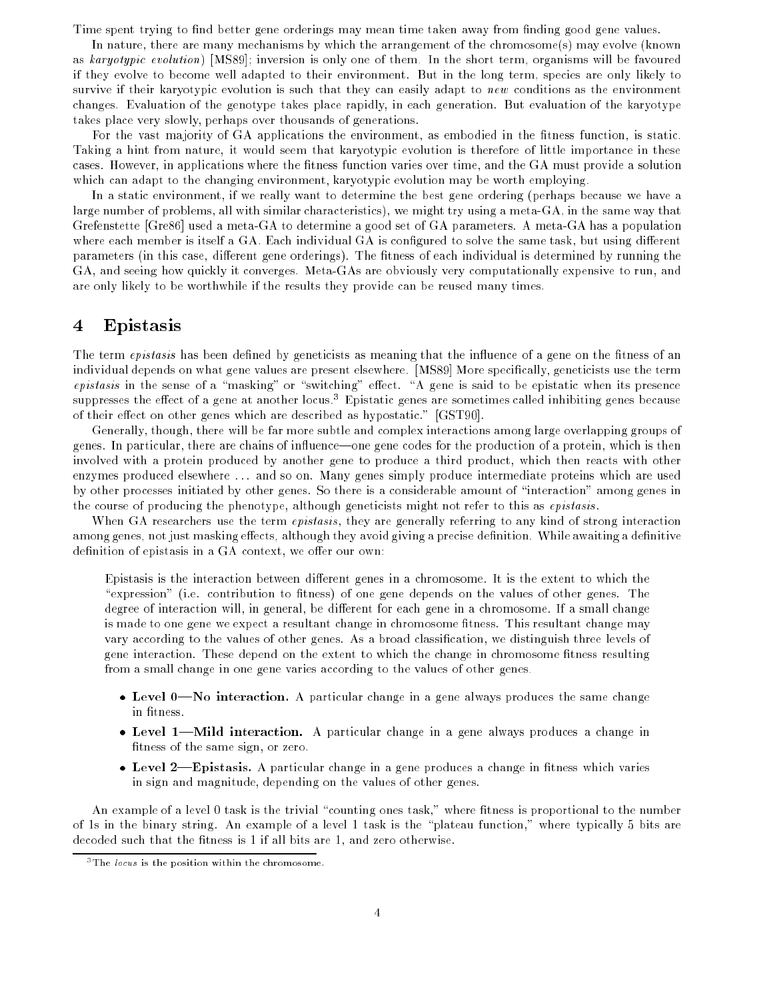Time spent trying to find better gene orderings may mean time taken away from finding good gene values.

In nature, there are many mechanisms by which the arrangement of the chromosome(s) may evolve (known as karyotypic evolution) [MS89]; inversion is only one of them. In the short term, organisms will be favoured if they evolve to become well adapted to their environment. But in the long term, species are only likely to survive if their karyotypic evolution is such that they can easily adapt to new conditions as the environment changes. Evaluation of the genotype takes place rapidly, in each generation. But evaluation of the karyotype takes place very slowly, perhaps over thousands of generations.

For the vast majority of GA applications the environment, as embodied in the fitness function, is static. Taking a hint from nature, it would seem that karyotypic evolution is therefore of little importance in these cases. However, in applications where the fitness function varies over time, and the GA must provide a solution which can adapt to the changing environment, karyotypic evolution may be worth employing.

In a static environment, if we really want to determine the best gene ordering (perhaps because we have a large number of problems, all with similar characteristics), we might try using a meta-GA, in the same way that Grefenstette [Gre86] used a meta-GA to determine a good set of GA parameters. A meta-GA has a population where each member is itself a GA. Each individual GA is configured to solve the same task, but using different parameters (in this case, different gene orderings). The fitness of each individual is determined by running the GA, and seeing how quickly it converges. Meta-GAs are obviously very computationally expensive to run, and are only likely to be worthwhile if the results they provide can be reused many times.

#### 4Epistasis

The term epistasis has been defined by geneticists as meaning that the influence of a gene on the fitness of an individual depends on what gene values are present elsewhere. [MS89] More specically, geneticists use the term  $epistasis$  in the sense of a "masking" or "switching" effect. "A gene is said to be epistatic when its presence suppresses the effect of a gene at another locus." Epistatic genes are sometimes called inhibiting genes because of their effect on other genes which are described as hypostatic." [GST90].

Generally, though, there will be far more subtle and complex interactions among large overlapping groups of genes. In particular, there are chains of influence—one gene codes for the production of a protein, which is then involved with a protein produced by another gene to produce a third product, which then reacts with other enzymes produced elsewhere ... and so on. Many genes simply produce intermediate proteins which are used by other processes initiated by other genes. So there is a considerable amount of \interaction" among genes in the course of producing the phenotype, although geneticists might not refer to this as epistasis .

When GA researchers use the term *epistasis*, they are generally referring to any kind of strong interaction among genes, not just masking effects, although they avoid giving a precise definition. While awaiting a definitive definition of epistasis in a GA context, we offer our own:

Epistasis is the interaction between different genes in a chromosome. It is the extent to which the "expression" (i.e. contribution to fitness) of one gene depends on the values of other genes. The degree of interaction will, in general, be different for each gene in a chromosome. If a small change is made to one gene we expect a resultant change in chromosome fitness. This resultant change may vary according to the values of other genes. As a broad classication, we distinguish three levels of gene interaction. These depend on the extent to which the change in chromosome fitness resulting from a small change in one gene varies according to the values of other genes.

- Level 0—No interaction. A particular change in a gene always produces the same change in fitness.
- Level 1—Mild interaction. A particular change in a gene always produces a change in fitness of the same sign, or zero.
- Level 2—Epistasis. A particular change in a gene produces a change in fitness which varies in sign and magnitude, depending on the values of other genes.

An example of a level 0 task is the trivial "counting ones task," where fitness is proportional to the number of 1s in the binary string. An example of a level 1 task is the \plateau function," where typically 5 bits are decoded such that the fitness is 1 if all bits are 1, and zero otherwise.

 $3$ The *locus* is the position within the chromosome.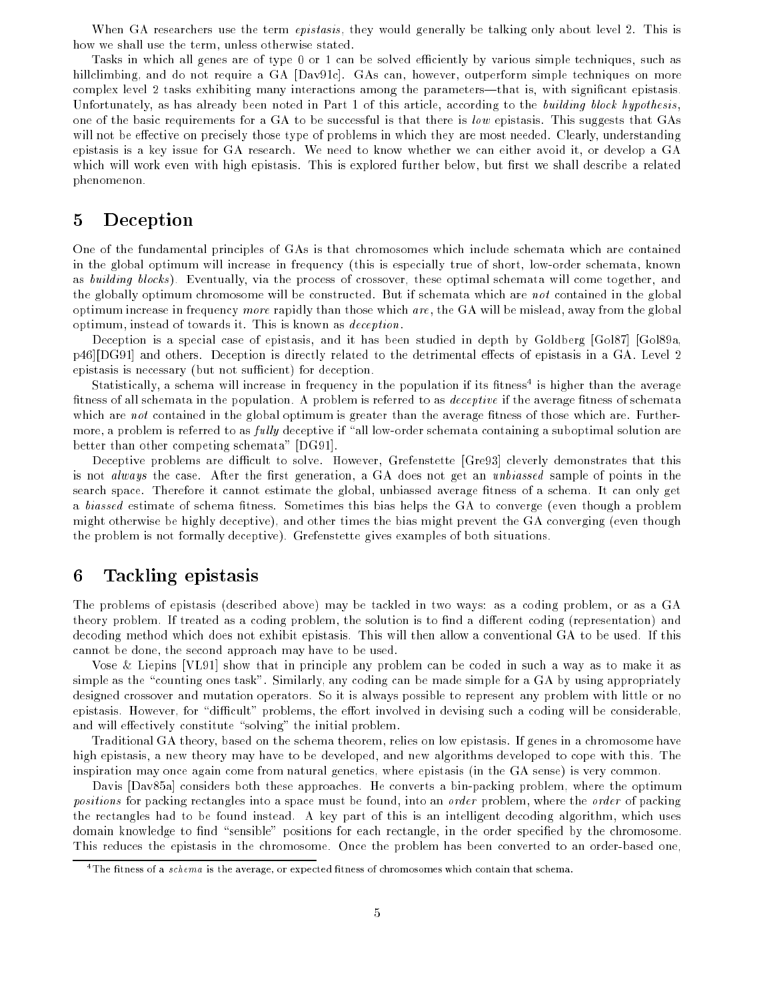When GA researchers use the term *epistasis*, they would generally be talking only about level 2. This is how we shall use the term, unless otherwise stated.

Tasks in which all genes are of type 0 or 1 can be solved efficiently by various simple techniques, such as hillclimbing, and do not require a GA [Dav91c]. GAs can, however, outperform simple techniques on more complex level 2 tasks exhibiting many interactions among the parameters—that is, with significant epistasis. Unfortunately, as has already been noted in Part 1 of this article, according to the building block hypothesis, one of the basic requirements for a GA to be successful is that there is low epistasis. This suggests that GAs will not be effective on precisely those type of problems in which they are most needed. Clearly, understanding epistasis is a key issue for GA research. We need to know whether we can either avoid it, or develop a GA which will work even with high epistasis. This is explored further below, but first we shall describe a related phenomenon.

#### 5Deception

One of the fundamental principles of GAs is that chromosomes which include schemata which are contained in the global optimum will increase in frequency (this is especially true of short, low-order schemata, known as building blocks ). Eventually, via the process of crossover, these optimal schemata will come together, and the globally optimum chromosome will be constructed. But if schemata which are not contained in the global optimum increase in frequency more rapidly than those which are, the GA will be mislead, away from the global optimum, instead of towards it. This is known as deception.

Deception is a special case of epistasis, and it has been studied in depth by Goldberg [Gol87] [Gol89a, p46][DG91] and others. Deception is directly related to the detrimental effects of epistasis in a GA. Level 2 epistasis is necessary (but not sufficient) for deception.

Statistically, a schema will increase in frequency in the population if its htness+ is higher than the average fitness of all schemata in the population. A problem is referred to as *deceptive* if the average fitness of schemata which are not contained in the global optimum is greater than the average fitness of those which are. Furthermore, a problem is referred to as fully deceptive if "all low-order schemata containing a suboptimal solution are better than other competing schemata" [DG91].

Deceptive problems are difficult to solve. However, Grefenstette [Gre93] cleverly demonstrates that this is not *always* the case. After the first generation, a GA does not get an *unbiassed* sample of points in the search space. Therefore it cannot estimate the global, unbiassed average fitness of a schema. It can only get a biassed estimate of schema fitness. Sometimes this bias helps the GA to converge (even though a problem might otherwise be highly deceptive), and other times the bias might prevent the GA converging (even though the problem is not formally deceptive). Grefenstette gives examples of both situations.

### Tackling epistasis 6

The problems of epistasis (described above) may be tackled in two ways: as a coding problem, or as a GA theory problem. If treated as a coding problem, the solution is to find a different coding (representation) and decoding method which does not exhibit epistasis. This will then allow a conventional GA to be used. If this cannot be done, the second approach may have to be used.

Vose & Liepins [VL91] show that in principle any problem can be coded in such a way as to make it as simple as the "counting ones task". Similarly, any coding can be made simple for a GA by using appropriately designed crossover and mutation operators. So it is always possible to represent any problem with little or no epistasis. However, for "difficult" problems, the effort involved in devising such a coding will be considerable, and will effectively constitute "solving" the initial problem.

Traditional GA theory, based on the schema theorem, relies on low epistasis. If genes in a chromosome have high epistasis, a new theory may have to be developed, and new algorithms developed to cope with this. The inspiration may once again come from natural genetics, where epistasis (in the GA sense) is very common.

Davis [Dav85a] considers both these approaches. He converts a bin-packing problem, where the optimum positions for packing rectangles into a space must be found, into an *order* problem, where the *order* of packing the rectangles had to be found instead. A key part of this is an intelligent decoding algorithm, which uses domain knowledge to find "sensible" positions for each rectangle, in the order specified by the chromosome. This reduces the epistasis in the chromosome. Once the problem has been converted to an order-based one,

<sup>&</sup>lt;sup>4</sup>The fitness of a  $s$ chema is the average, or expected fitness of chromosomes which contain that schema.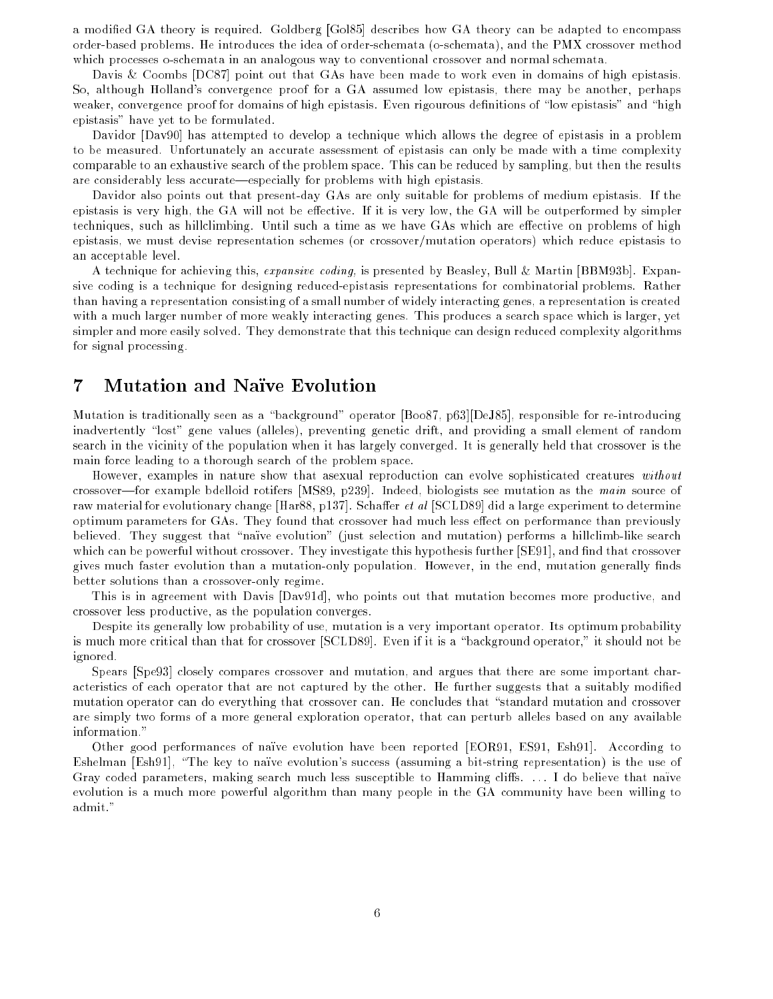a modied GA theory is required. Goldberg [Gol85] describes how GA theory can be adapted to encompass order-based problems. He introduces the idea of order-schemata (o-schemata), and the PMX crossover method which processes o-schemata in an analogous way to conventional crossover and normal schemata.

Davis & Coombs [DC87] point out that GAs have been made to work even in domains of high epistasis. So, although Holland's convergence proof for a GA assumed low epistasis, there may be another, perhaps weaker, convergence proof for domains of high epistasis. Even rigourous definitions of "low epistasis" and "high epistasis" have yet to be formulated.

Davidor [Dav90] has attempted to develop a technique which allows the degree of epistasis in a problem to be measured. Unfortunately an accurate assessment of epistasis can only be made with a time complexity comparable to an exhaustive search of the problem space. This can be reduced by sampling, but then the results are considerably less accurate—especially for problems with high epistasis.

Davidor also points out that present-day GAs are only suitable for problems of medium epistasis. If the epistasis is very high, the GA will not be effective. If it is very low, the GA will be outperformed by simpler techniques, such as hillclimbing. Until such a time as we have GAs which are effective on problems of high epistasis, we must devise representation schemes (or crossover/mutation operators) which reduce epistasis to an acceptable level.

A technique for achieving this, expansive coding, is presented by Beasley, Bull & Martin [BBM93b]. Expansive coding is a technique for designing reduced-epistasis representations for combinatorial problems. Rather than having a representation consisting of a small number of widely interacting genes, a representation is created with a much larger number of more weakly interacting genes. This produces a search space which is larger, yet simpler and more easily solved. They demonstrate that this technique can design reduced complexity algorithms for signal processing.

#### 7Mutation and Naïve Evolution

Mutation is traditionally seen as a "background" operator [Boo87, p63][DeJ85], responsible for re-introducing inadvertently "lost" gene values (alleles), preventing genetic drift, and providing a small element of random search in the vicinity of the population when it has largely converged. It is generally held that crossover is the main force leading to a thorough search of the problem space.

However, examples in nature show that asexual reproduction can evolve sophisticated creatures without crossover—for example bdelloid rotifers [MS89, p239]. Indeed, biologists see mutation as the main source of raw material for evolutionary change [Har88, p137]. Schaffer *et al* [SCLD89] did a large experiment to determine optimum parameters for GAs. They found that crossover had much less effect on performance than previously believed. They suggest that "naïve evolution" (just selection and mutation) performs a hillclimb-like search which can be powerful without crossover. They investigate this hypothesis further [SE91], and find that crossover gives much faster evolution than a mutation-only population. However, in the end, mutation generally finds better solutions than a crossover-only regime.

This is in agreement with Davis [Dav91d], who points out that mutation becomes more productive, and crossover less productive, as the population converges.

Despite its generally low probability of use, mutation is a very important operator. Its optimum probability is much more critical than that for crossover [SCLD89]. Even if it is a "background operator," it should not be ignored.

Spears [Spe93] closely compares crossover and mutation, and argues that there are some important characteristics of each operator that are not captured by the other. He further suggests that a suitably modied mutation operator can do everything that crossover can. He concludes that "standard mutation and crossover are simply two forms of a more general exploration operator, that can perturb alleles based on any available information."

Other good performances of naïve evolution have been reported [EOR91, ES91, Esh91]. According to Eshelman [Esh91], "The key to naïve evolution's success (assuming a bit-string representation) is the use of Gray coded parameters, making search much less susceptible to Hamming cliffs. ... I do believe that naïve evolution is a much more powerful algorithm than many people in the GA community have been willing to admit."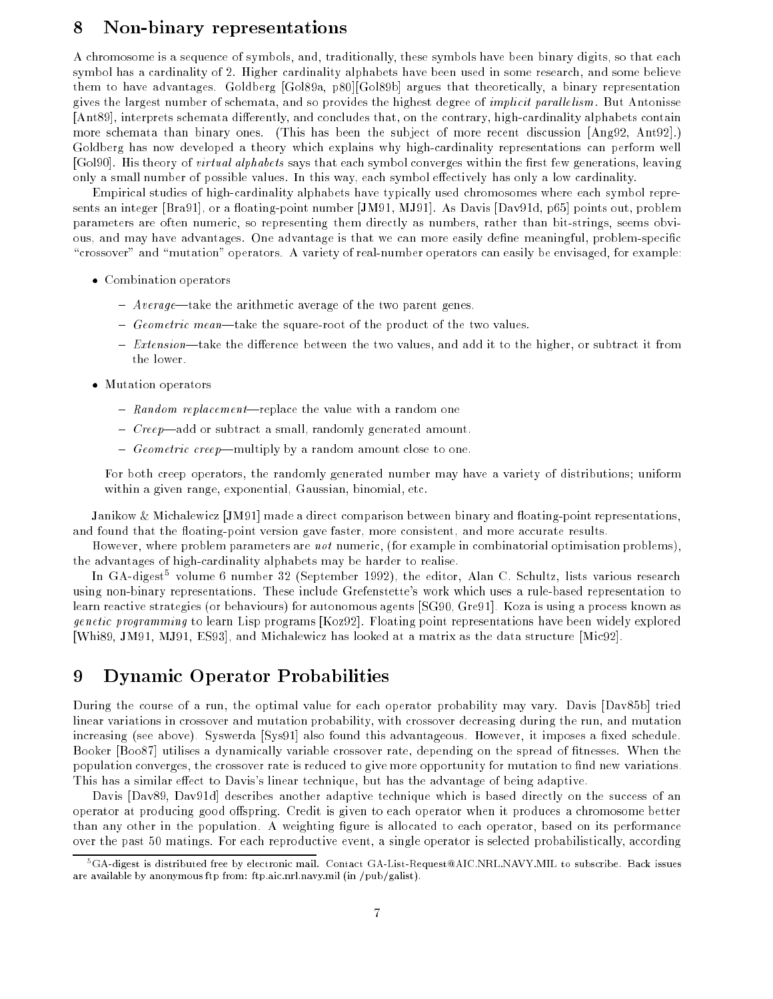#### 8Non-binary representations

A chromosome is a sequence of symbols, and, traditionally, these symbols have been binary digits, so that each symbol has a cardinality of 2. Higher cardinality alphabets have been used in some research, and some believe them to have advantages. Goldberg [Gol89a, p80][Gol89b] argues that theoretically, a binary representation gives the largest number of schemata, and so provides the highest degree of *implicit parallelism*. But Antonisse [Ant89], interprets schemata differently, and concludes that, on the contrary, high-cardinality alphabets contain more schemata than binary ones. (This has been the subject of more recent discussion [Ang92, Ant92].) Goldberg has now developed a theory which explains why high-cardinality representations can perform well [Gol90]. His theory of *virtual alphabets* says that each symbol converges within the first few generations, leaving only a small number of possible values. In this way, each symbol effectively has only a low cardinality.

Empirical studies of high-cardinality alphabets have typically used chromosomes where each symbol represents an integer [Bra91], or a floating-point number [JM91, MJ91]. As Davis [Dav91d, p65] points out, problem parameters are often numeric, so representing them directly as numbers, rather than bit-strings, seems obvious, and may have advantages. One advantage is that we can more easily define meaningful, problem-specific "crossover" and "mutation" operators. A variety of real-number operators can easily be envisaged, for example:

- Combination operators
	- ${\bf -}$  Average—take the arithmetic average of the two parent genes.
	- ${ \textit{ Geometric mean} \textit{take the square-root of the product of the two values.}$
	- $\overline{E}$  Extension—take the difference between the two values, and add it to the higher, or subtract it from the lower.
- Mutation operators
	- Random replacement-replace the value with a random one
	- ${\it -} \, Creep$ —add or subtract a small, randomly generated amount.
	- Geometric creep—multiply by a random amount close to one.

For both creep operators, the randomly generated number may have a variety of distributions; uniform within a given range, exponential, Gaussian, binomial, etc.

Janikow & Michalewicz [JM91] made a direct comparison between binary and floating-point representations, and found that the floating-point version gave faster, more consistent, and more accurate results.

However, where problem parameters are *not* numeric, (for example in combinatorial optimisation problems), the advantages of high-cardinality alphabets may be harder to realise.

In GA-digest5 volume 6 number 32 (September 1992), the editor, Alan C. Schultz, lists various research using non-binary representations. These include Grefenstette's work which uses a rule-based representation to learn reactive strategies (or behaviours) for autonomous agents [SG90, Gre91]. Koza is using a process known as genetic programming to learn Lisp programs [Koz92]. Floating point representations have been widely explored [Whi89, JM91, MJ91, ES93], and Michalewicz has looked at a matrix as the data structure [Mic92].

#### 9Dynamic Operator Probabilities

During the course of a run, the optimal value for each operator probability may vary. Davis [Dav85b] tried linear variations in crossover and mutation probability, with crossover decreasing during the run, and mutation increasing (see above). Syswerda [Sys91] also found this advantageous. However, it imposes a fixed schedule. Booker [Boo87] utilises a dynamically variable crossover rate, depending on the spread of fitnesses. When the population converges, the crossover rate is reduced to give more opportunity for mutation to find new variations. This has a similar effect to Davis's linear technique, but has the advantage of being adaptive.

Davis [Dav89, Dav91d] describes another adaptive technique which is based directly on the success of an operator at producing good offspring. Credit is given to each operator when it produces a chromosome better than any other in the population. A weighting figure is allocated to each operator, based on its performance over the past 50 matings. For each reproductive event, a single operator is selected probabilistically, according

<sup>5</sup>GA-digest is distributed free by electronic mail. Contact GA-List-Request@AIC.NRL.NAVY.MIL to subscribe. Back issues are available by anonymous ftp from: ftp.aic.nrl.navy.mil (in /pub/galist).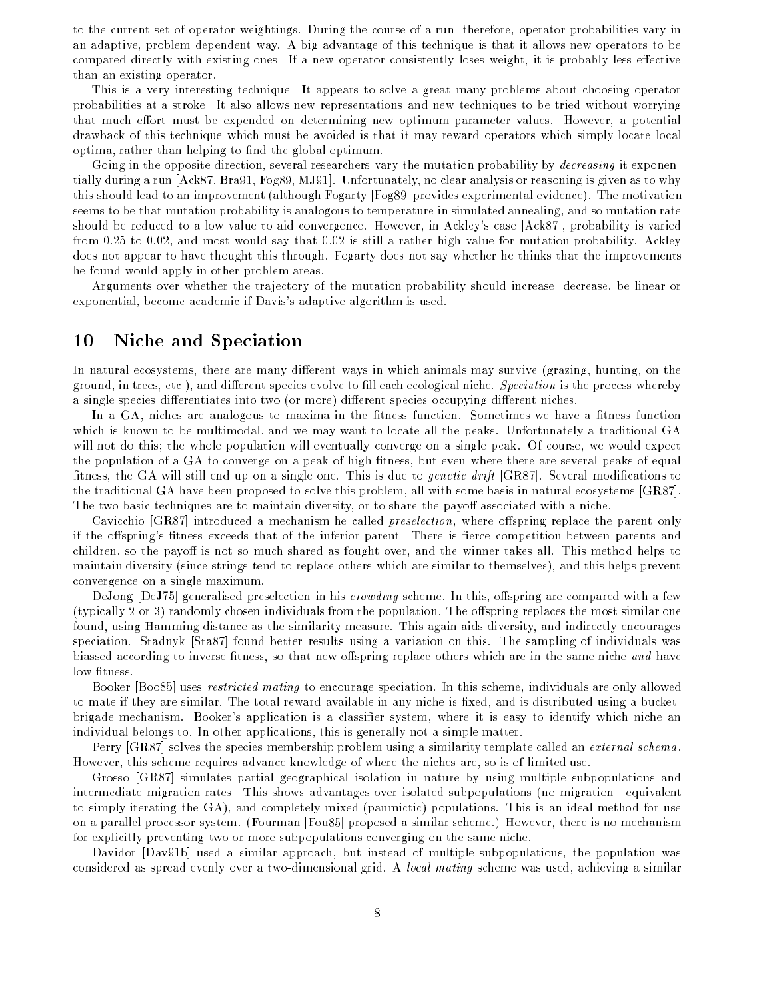to the current set of operator weightings. During the course of a run, therefore, operator probabilities vary in an adaptive, problem dependent way. A big advantage of this technique is that it allows new operators to be compared directly with existing ones. If a new operator consistently loses weight, it is probably less effective than an existing operator.

This is a very interesting technique. It appears to solve a great many problems about choosing operator probabilities at a stroke. It also allows new representations and new techniques to be tried without worrying that much effort must be expended on determining new optimum parameter values. However, a potential drawback of this technique which must be avoided is that it may reward operators which simply locate local optima, rather than helping to find the global optimum.

Going in the opposite direction, several researchers vary the mutation probability by *decreasing* it exponentially during a run [Ack87, Bra91, Fog89, MJ91]. Unfortunately, no clear analysis or reasoning is given as to why this should lead to an improvement (although Fogarty [Fog89] provides experimental evidence). The motivation seems to be that mutation probability is analogous to temperature in simulated annealing, and so mutation rate should be reduced to a low value to aid convergence. However, in Ackley's case [Ack87], probability is varied from 0.25 to 0.02, and most would say that 0.02 is still a rather high value for mutation probability. Ackley does not appear to have thought this through. Fogarty does not say whether he thinks that the improvements he found would apply in other problem areas.

Arguments over whether the trajectory of the mutation probability should increase, decrease, be linear or exponential, become academic if Davis's adaptive algorithm is used.

#### 10Niche and Speciation

In natural ecosystems, there are many different ways in which animals may survive (grazing, hunting, on the ground, in trees, etc.), and different species evolve to fill each ecological niche. Speciation is the process whereby a single species differentiates into two (or more) different species occupying different niches.

In a GA, niches are analogous to maxima in the fitness function. Sometimes we have a fitness function which is known to be multimodal, and we may want to locate all the peaks. Unfortunately a traditional GA will not do this; the whole population will eventually converge on a single peak. Of course, we would expect the population of a GA to converge on a peak of high fitness, but even where there are several peaks of equal fitness, the GA will still end up on a single one. This is due to *genetic drift* [GR87]. Several modifications to the traditional GA have been proposed to solve this problem, all with some basis in natural ecosystems [GR87]. The two basic techniques are to maintain diversity, or to share the payoff associated with a niche.

Cavicchio [GR87] introduced a mechanism he called *preselection*, where offspring replace the parent only if the offspring's fitness exceeds that of the inferior parent. There is fierce competition between parents and children, so the payoff is not so much shared as fought over, and the winner takes all. This method helps to maintain diversity (since strings tend to replace others which are similar to themselves), and this helps prevent convergence on a single maximum.

DeJong [DeJ75] generalised preselection in his *crowding* scheme. In this, offspring are compared with a few (typically 2 or 3) randomly chosen individuals from the population. The offspring replaces the most similar one found, using Hamming distance as the similarity measure. This again aids diversity, and indirectly encourages speciation. Stadnyk [Sta87] found better results using a variation on this. The sampling of individuals was biassed according to inverse fitness, so that new offspring replace others which are in the same niche and have low fitness.

Booker [Boo85] uses *restricted mating* to encourage speciation. In this scheme, individuals are only allowed to mate if they are similar. The total reward available in any niche is fixed, and is distributed using a bucketbrigade mechanism. Booker's application is a classifier system, where it is easy to identify which niche an individual belongs to. In other applications, this is generally not a simple matter.

Perry [GR87] solves the species membership problem using a similarity template called an *external schema*. However, this scheme requires advance knowledge of where the niches are, so is of limited use.

Grosso [GR87] simulates partial geographical isolation in nature by using multiple subpopulations and intermediate migration rates. This shows advantages over isolated subpopulations (no migration—equivalent to simply iterating the GA), and completely mixed (panmictic) populations. This is an ideal method for use on a parallel processor system. (Fourman [Fou85] proposed a similar scheme.) However, there is no mechanism for explicitly preventing two or more subpopulations converging on the same niche.

Davidor [Dav91b] used a similar approach, but instead of multiple subpopulations, the population was considered as spread evenly over a two-dimensional grid. A local mating scheme was used, achieving a similar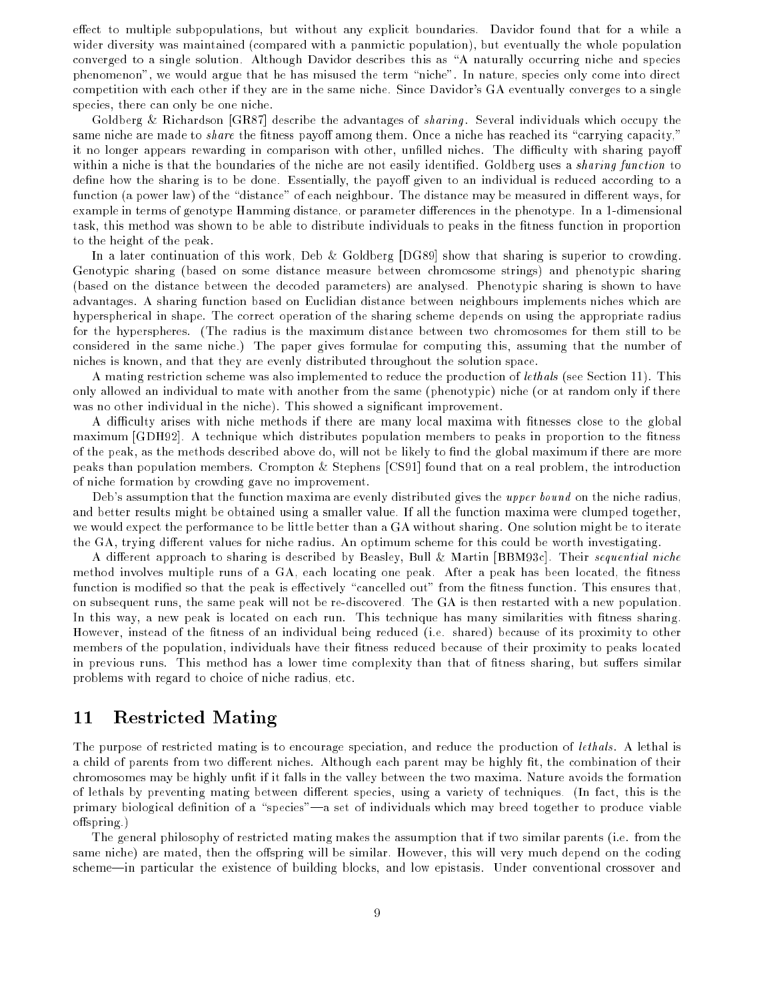effect to multiple subpopulations, but without any explicit boundaries. Davidor found that for a while a wider diversity was maintained (compared with a panmictic population), but eventually the whole population converged to a single solution. Although Davidor describes this as \A naturally occurring niche and species phenomenon", we would argue that he has misused the term \niche". In nature, species only come into direct competition with each other if they are in the same niche. Since Davidor's GA eventually converges to a single species, there can only be one niche.

Goldberg & Richardson [GR87] describe the advantages of *sharing*. Several individuals which occupy the same niche are made to *share* the fitness payoff among them. Once a niche has reached its "carrying capacity," it no longer appears rewarding in comparison with other, unfilled niches. The difficulty with sharing payoff within a niche is that the boundaries of the niche are not easily identified. Goldberg uses a *sharing function* to define how the sharing is to be done. Essentially, the payoff given to an individual is reduced according to a function (a power law) of the "distance" of each neighbour. The distance may be measured in different ways, for example in terms of genotype Hamming distance, or parameter differences in the phenotype. In a 1-dimensional task, this method was shown to be able to distribute individuals to peaks in the fitness function in proportion to the height of the peak.

In a later continuation of this work, Deb & Goldberg [DG89] show that sharing is superior to crowding. Genotypic sharing (based on some distance measure between chromosome strings) and phenotypic sharing (based on the distance between the decoded parameters) are analysed. Phenotypic sharing is shown to have advantages. A sharing function based on Euclidian distance between neighbours implements niches which are hyperspherical in shape. The correct operation of the sharing scheme depends on using the appropriate radius for the hyperspheres. (The radius is the maximum distance between two chromosomes for them still to be considered in the same niche.) The paper gives formulae for computing this, assuming that the number of niches is known, and that they are evenly distributed throughout the solution space.

A mating restriction scheme was also implemented to reduce the production of lethals (see Section 11). This only allowed an individual to mate with another from the same (phenotypic) niche (or at random only if there was no other individual in the niche). This showed a significant improvement.

A difficulty arises with niche methods if there are many local maxima with fitnesses close to the global maximum [GDH92]. A technique which distributes population members to peaks in proportion to the fitness of the peak, as the methods described above do, will not be likely to find the global maximum if there are more peaks than population members. Crompton & Stephens [CS91] found that on a real problem, the introduction of niche formation by crowding gave no improvement.

Deb's assumption that the function maxima are evenly distributed gives the upper bound on the niche radius, and better results might be obtained using a smaller value. If all the function maxima were clumped together, we would expect the performance to be little better than a GA without sharing. One solution might be to iterate the GA, trying different values for niche radius. An optimum scheme for this could be worth investigating.

A different approach to sharing is described by Beasley, Bull & Martin [BBM93c]. Their sequential niche method involves multiple runs of a GA, each locating one peak. After a peak has been located, the fitness function is modified so that the peak is effectively "cancelled out" from the fitness function. This ensures that, on subsequent runs, the same peak will not be re-discovered. The GA is then restarted with a new population. In this way, a new peak is located on each run. This technique has many similarities with fitness sharing. However, instead of the fitness of an individual being reduced (i.e. shared) because of its proximity to other members of the population, individuals have their fitness reduced because of their proximity to peaks located in previous runs. This method has a lower time complexity than that of fitness sharing, but suffers similar problems with regard to choice of niche radius, etc.

#### 11Restricted Mating

The purpose of restricted mating is to encourage speciation, and reduce the production of lethals . A lethal is a child of parents from two different niches. Although each parent may be highly fit, the combination of their chromosomes may be highly unt if it falls in the valley between the two maxima. Nature avoids the formation of lethals by preventing mating between different species, using a variety of techniques. (In fact, this is the primary biological definition of a "species"—a set of individuals which may breed together to produce viable offspring.)

The general philosophy of restricted mating makes the assumption that if two similar parents (i.e. from the same niche) are mated, then the offspring will be similar. However, this will very much depend on the coding scheme—in particular the existence of building blocks, and low epistasis. Under conventional crossover and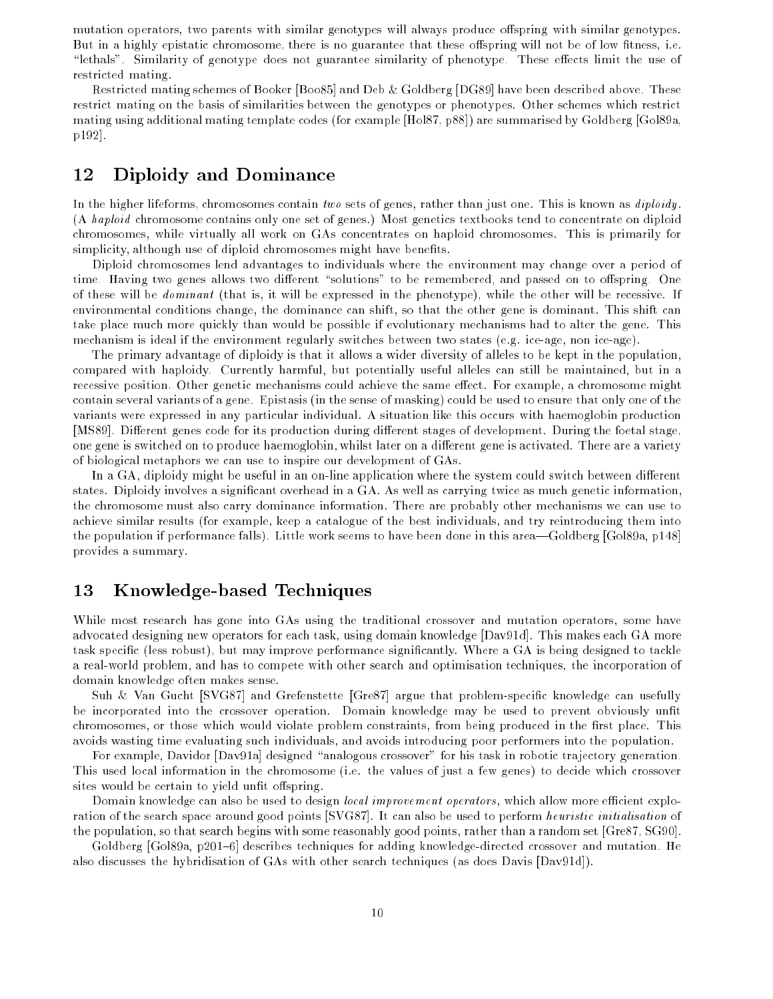mutation operators, two parents with similar genotypes will always produce offspring with similar genotypes. But in a highly epistatic chromosome, there is no guarantee that these offspring will not be of low fitness, i.e. "lethals". Similarity of genotype does not guarantee similarity of phenotype. These effects limit the use of restricted mating.

Restricted mating schemes of Booker [Boo85] and Deb & Goldberg [DG89] have been described above. These restrict mating on the basis of similarities between the genotypes or phenotypes. Other schemes which restrict mating using additional mating template codes (for example [Hol87, p88]) are summarised by Goldberg [Gol89a, p192].

#### 12Diploidy and Dominance

In the higher lifeforms, chromosomes contain two sets of genes, rather than just one. This is known as *diploidy*. (A haploid chromosome contains only one set of genes.) Most genetics textbooks tend to concentrate on diploid chromosomes, while virtually all work on GAs concentrates on haploid chromosomes. This is primarily for simplicity, although use of diploid chromosomes might have benefits.

Diploid chromosomes lend advantages to individuals where the environment may change over a period of time. Having two genes allows two different "solutions" to be remembered, and passed on to offspring. One of these will be dominant (that is, it will be expressed in the phenotype), while the other will be recessive. If environmental conditions change, the dominance can shift, so that the other gene is dominant. This shift can take place much more quickly than would be possible if evolutionary mechanisms had to alter the gene. This mechanism is ideal if the environment regularly switches between two states (e.g. ice-age, non ice-age).

The primary advantage of diploidy is that it allows a wider diversity of alleles to be kept in the population, compared with haploidy. Currently harmful, but potentially useful alleles can still be maintained, but in a recessive position. Other genetic mechanisms could achieve the same effect. For example, a chromosome might contain several variants of a gene. Epistasis (in the sense of masking) could be used to ensure that only one of the variants were expressed in any particular individual. A situation like this occurs with haemoglobin production [MS89]. Different genes code for its production during different stages of development. During the foetal stage, one gene is switched on to produce haemoglobin, whilst later on a different gene is activated. There are a variety of biological metaphors we can use to inspire our development of GAs.

In a GA, diploidy might be useful in an on-line application where the system could switch between different states. Diploidy involves a signicant overhead in a GA. As well as carrying twice as much genetic information, the chromosome must also carry dominance information. There are probably other mechanisms we can use to achieve similar results (for example, keep a catalogue of the best individuals, and try reintroducing them into the population if performance falls). Little work seems to have been done in this area—Goldberg [Gol89a, p148] provides a summary.

#### 13 Knowledge-based Techniques

While most research has gone into GAs using the traditional crossover and mutation operators, some have advocated designing new operators for each task, using domain knowledge [Dav91d]. This makes each GA more task specific (less robust), but may improve performance significantly. Where a GA is being designed to tackle a real-world problem, and has to compete with other search and optimisation techniques, the incorporation of domain knowledge often makes sense.

Suh & Van Gucht [SVG87] and Grefenstette [Gre87] argue that problem-specic knowledge can usefully be incorporated into the crossover operation. Domain knowledge may be used to prevent obviously unfit chromosomes, or those which would violate problem constraints, from being produced in the first place. This avoids wasting time evaluating such individuals, and avoids introducing poor performers into the population.

For example, Davidor [Dav91a] designed "analogous crossover" for his task in robotic trajectory generation. This used local information in the chromosome (i.e. the values of just a few genes) to decide which crossover sites would be certain to yield unfit offspring.

Domain knowledge can also be used to design *local improvement operators*, which allow more efficient exploration of the search space around good points [SVG87]. It can also be used to perform heuristic initialisation of the population, so that search begins with some reasonably good points, rather than a random set [Gre87, SG90].

Goldberg [Gol89a, p201{6] describes techniques for adding knowledge-directed crossover and mutation. He also discusses the hybridisation of GAs with other search techniques (as does Davis [Dav91d]).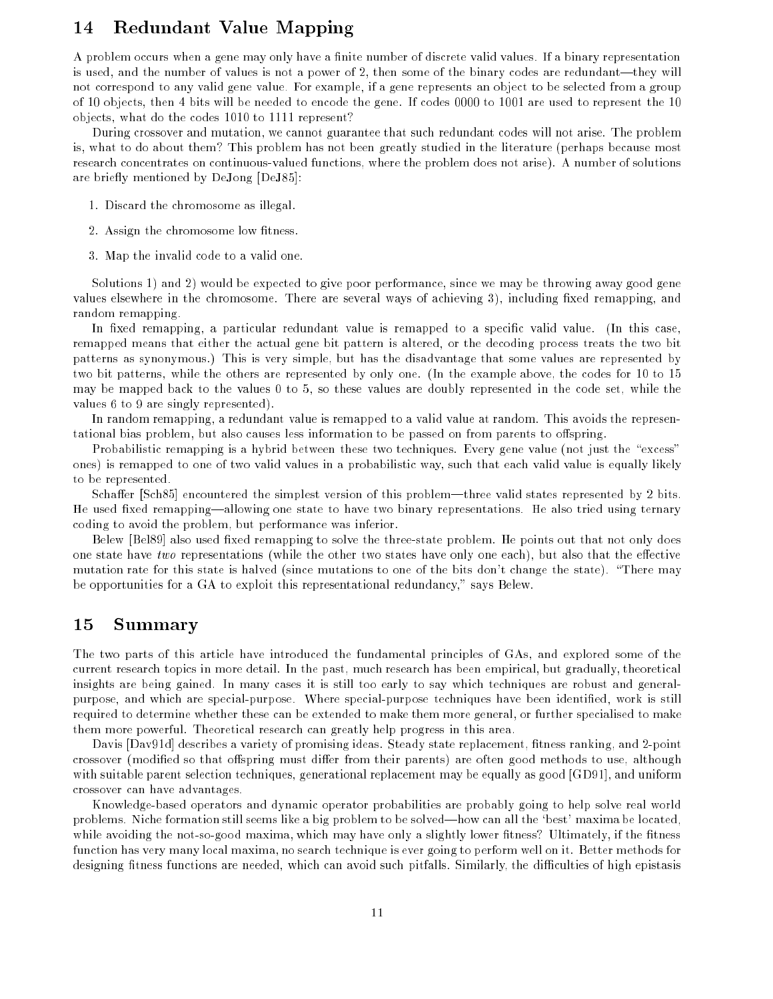#### 14Redundant Value Mapping

A problem occurs when a gene may only have a finite number of discrete valid values. If a binary representation is used, and the number of values is not a power of 2, then some of the binary codes are redundant—they will not correspond to any valid gene value. For example, if a gene represents an object to be selected from a group of 10 objects, then 4 bits will be needed to encode the gene. If codes 0000 to 1001 are used to represent the 10 objects, what do the codes 1010 to 1111 represent?

During crossover and mutation, we cannot guarantee that such redundant codes will not arise. The problem is, what to do about them? This problem has not been greatly studied in the literature (perhaps because most research concentrates on continuous-valued functions, where the problem does not arise). A number of solutions are briefly mentioned by DeJong [DeJ85]:

- 1. Discard the chromosome as illegal.
- 2. Assign the chromosome low fitness.
- 3. Map the invalid code to a valid one.

Solutions 1) and 2) would be expected to give poor performance, since we may be throwing away good gene values elsewhere in the chromosome. There are several ways of achieving 3), including fixed remapping, and random remapping.

In fixed remapping, a particular redundant value is remapped to a specific valid value. (In this case, remapped means that either the actual gene bit pattern is altered, or the decoding process treats the two bit patterns as synonymous.) This is very simple, but has the disadvantage that some values are represented by two bit patterns, while the others are represented by only one. (In the example above, the codes for 10 to 15 may be mapped back to the values 0 to 5, so these values are doubly represented in the code set, while the values 6 to 9 are singly represented).

In random remapping, a redundant value is remapped to a valid value at random. This avoids the representational bias problem, but also causes less information to be passed on from parents to offspring.

Probabilistic remapping is a hybrid between these two techniques. Every gene value (not just the "excess" ones) is remapped to one of two valid values in a probabilistic way, such that each valid value is equally likely to be represented.

Schaffer [Sch85] encountered the simplest version of this problem—three valid states represented by 2 bits. He used fixed remapping—allowing one state to have two binary representations. He also tried using ternary coding to avoid the problem, but performance was inferior.

Belew [Bel89] also used fixed remapping to solve the three-state problem. He points out that not only does one state have two representations (while the other two states have only one each), but also that the effective mutation rate for this state is halved (since mutations to one of the bits don't change the state). \There may be opportunities for a GA to exploit this representational redundancy," says Belew.

#### 15Summary

The two parts of this article have introduced the fundamental principles of GAs, and explored some of the current research topics in more detail. In the past, much research has been empirical, but gradually, theoretical insights are being gained. In many cases it is still too early to say which techniques are robust and generalpurpose, and which are special-purpose. Where special-purpose techniques have been identified, work is still required to determine whether these can be extended to make them more general, or further specialised to make them more powerful. Theoretical research can greatly help progress in this area.

Davis [Dav91d] describes a variety of promising ideas. Steady state replacement, fitness ranking, and 2-point crossover (modified so that offspring must differ from their parents) are often good methods to use, although with suitable parent selection techniques, generational replacement may be equally as good [GD91], and uniform crossover can have advantages.

Knowledge-based operators and dynamic operator probabilities are probably going to help solve real world problems. Niche formation still seems like a big problem to be solved—how can all the 'best' maxima be located, while avoiding the not-so-good maxima, which may have only a slightly lower fitness? Ultimately, if the fitness function has very many local maxima, no search technique is ever going to perform well on it. Better methods for designing fitness functions are needed, which can avoid such pitfalls. Similarly, the difficulties of high epistasis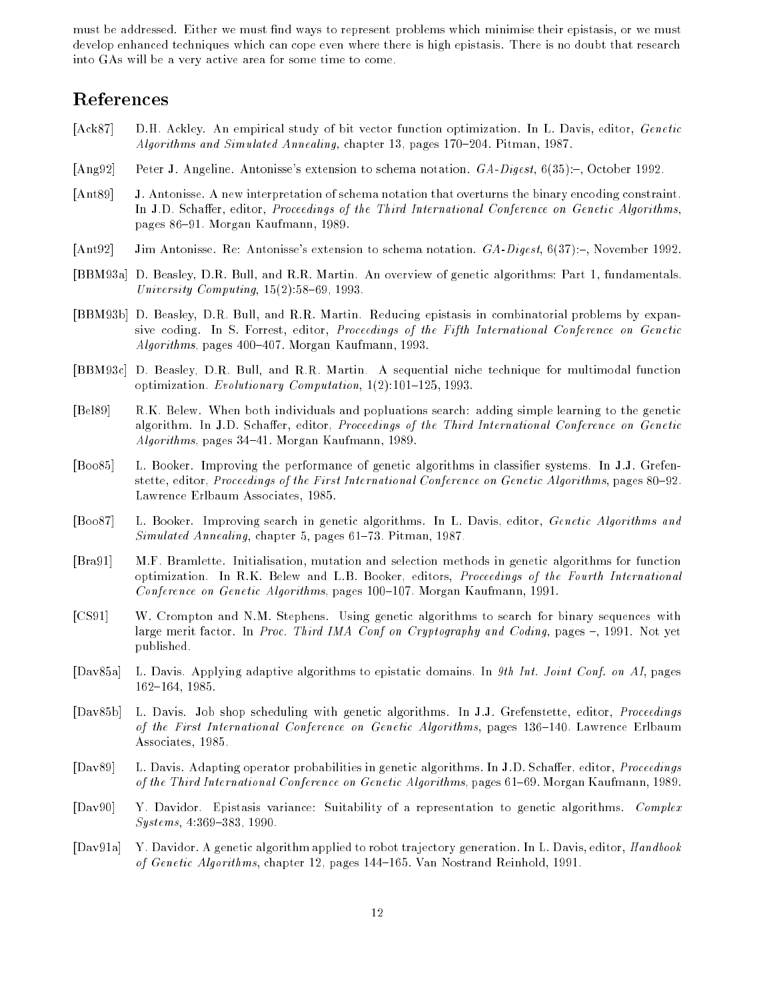must be addressed. Either we must find ways to represent problems which minimise their epistasis, or we must develop enhanced techniques which can cope even where there is high epistasis. There is no doubt that research into GAs will be a very active area for some time to come.

- [Ack87] D.H. Ackley. An empirical study of bit vector function optimization. In L. Davis, editor, Genetic Algorithms and Simulated Annealing, chapter 13, pages 170-204. Pitman, 1987.
- [Ang92] Peter J. Angeline. Antonisse's extension to schema notation.  $GA\text{-}Digest$ , 6(35):-, October 1992.
- [Ant89] J. Antonisse. A new interpretation of schema notation that overturns the binary encoding constraint. In J.D. Schaffer, editor, *Proceedings of the Third International Conference on Genetic Algorithms*, pages 86{91. Morgan Kaufmann, 1989.
- [Ant92] Jim Antonisse. Re: Antonisse's extension to schema notation. GA-Digest, 6(37):-, November 1992.
- [BBM93a] D. Beasley, D.R. Bull, and R.R. Martin. An overview of genetic algorithms: Part 1, fundamentals. University Computing,  $15(2)$ :  $58-69$ , 1993.
- [BBM93b] D. Beasley, D.R. Bull, and R.R. Martin. Reducing epistasis in combinatorial problems by expansive coding. In S. Forrest, editor, Proceedings of the Fifth International Conference on Genetic  $Algorithms$ , pages 400-407. Morgan Kaufmann, 1993.
- [BBM93c] D. Beasley, D.R. Bull, and R.R. Martin. A sequential niche technique for multimodal function optimization. Evolutionary Computation,  $1(2):101-125$ , 1993.
- [Bel89] R.K. Belew. When both individuals and popluations search: adding simple learning to the genetic algorithm. In J.D. Schaffer, editor, Proceedings of the Third International Conference on Genetic  $Alqorithms$ , pages 34–41. Morgan Kaufmann, 1989.
- [Boo85] L. Booker. Improving the performance of genetic algorithms in classifier systems. In J.J. Grefenstette, editor, *Proceedings of the First International Conference on Genetic Algorithms*, pages 80–92. Lawrence Erlbaum Associates, 1985.
- [Boo87] L. Booker. Improving search in genetic algorithms. In L. Davis, editor, Genetic Algorithms and  $Simulated \ An \nnealing$ , chapter 5, pages 61-73. Pitman, 1987.
- [Bra91] M.F. Bramlette. Initialisation, mutation and selection methods in genetic algorithms for function optimization. In R.K. Belew and L.B. Booker, editors, Proceedings of the Fourth International Conference on Genetic Algorithms, pages  $100-107$ . Morgan Kaufmann, 1991.
- [CS91] W. Crompton and N.M. Stephens. Using genetic algorithms to search for binary sequences with large merit factor. In Proc. Third IMA Conf on Cryptography and Coding, pages -, 1991. Not yet published.
- [Dav85a] L. Davis. Applying adaptive algorithms to epistatic domains. In 9th Int. Joint Conf. on AI, pages 162-164, 1985.
- [Dav85b] L. Davis. Job shop scheduling with genetic algorithms. In J.J. Grefenstette, editor, Proceedings of the First International Conference on Genetic Algorithms, pages 136-140. Lawrence Erlbaum Associates, 1985.
- [Dav89] L. Davis. Adapting operator probabilities in genetic algorithms. In J.D. Schaffer, editor, *Proceedings* of the Third International Conference on Genetic Algorithms, pages 61{69. Morgan Kaufmann, 1989.
- [Dav90] Y. Davidor. Epistasis variance: Suitability of a representation to genetic algorithms. Complex  $S$ *ystems*, 4:369-383, 1990.
- [Dav91a] Y. Davidor. A genetic algorithm applied to robot trajectory generation. In L. Davis, editor, Handbook of Genetic Algorithms, chapter 12, pages  $144-165$ . Van Nostrand Reinhold, 1991.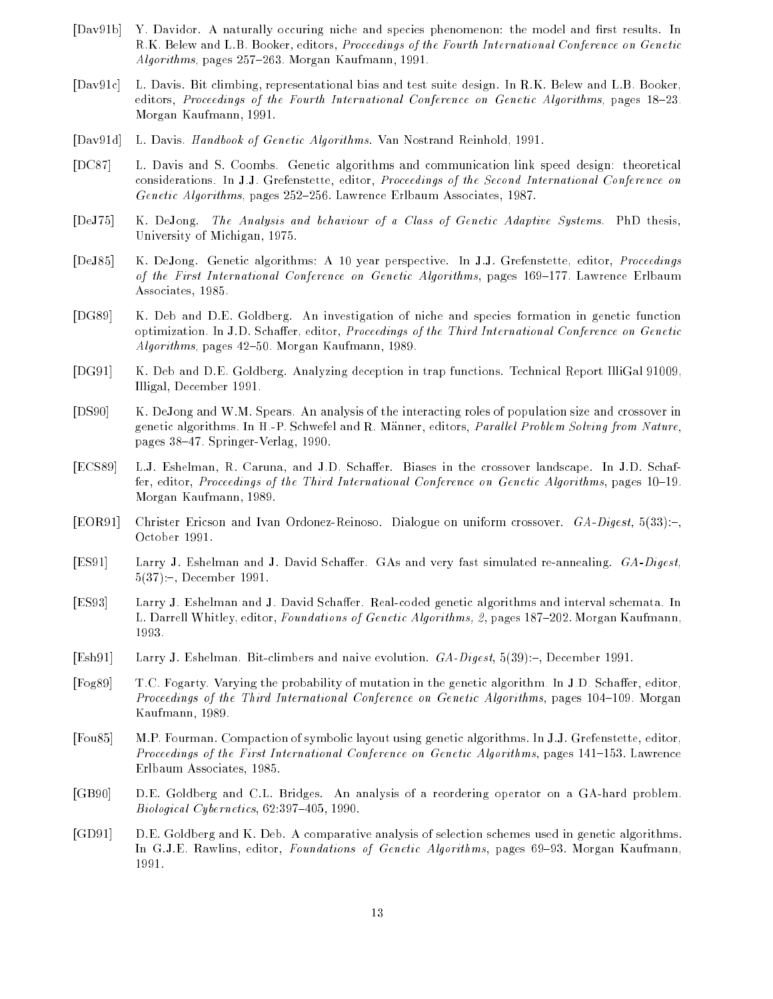- [Dav91b] Y. Davidor. A naturally occuring niche and species phenomenon: the model and first results. In R.K. Belew and L.B. Booker, editors, Proceedings of the Fourth International Conference on Genetic  $Algorithms$ , pages 257-263. Morgan Kaufmann, 1991.
- [Dav91c] L. Davis. Bit climbing, representational bias and test suite design. In R.K. Belew and L.B. Booker, editors, Proceedings of the Fourth International Conference on Genetic Algorithms, pages 18-23. Morgan Kaufmann, 1991.
- [Dav91d] L. Davis. Handbook of Genetic Algorithms. Van Nostrand Reinhold, 1991.
- [DC87] L. Davis and S. Coombs. Genetic algorithms and communication link speed design: theoretical considerations. In J.J. Grefenstette, editor, Proceedings of the Second International Conference on Genetic Algorithms, pages  $252-256$ . Lawrence Erlbaum Associates, 1987.
- [DeJ75] K. DeJong. The Analysis and behaviour of a Class of Genetic Adaptive Systems. PhD thesis, University of Michigan, 1975.
- [DeJ85] K. DeJong. Genetic algorithms: A 10 year perspective. In J.J. Grefenstette, editor, Proceedings of the First International Conference on Genetic Algorithms, pages 169–177. Lawrence Erlbaum Associates, 1985.
- [DG89] K. Deb and D.E. Goldberg. An investigation of niche and species formation in genetic function optimization. In J.D. Schaer, editor, Proceedings of the Third International Conference on Genetic Algorithms, pages 42-50. Morgan Kaufmann, 1989.
- [DG91] K. Deb and D.E. Goldberg. Analyzing deception in trap functions. Technical Report IlliGal 91009, Illigal, December 1991.
- [DS90] K. DeJong and W.M. Spears. An analysis of the interacting roles of population size and crossover in genetic algorithms. In H.-P. Schwefel and R. Männer, editors, *Parallel Problem Solving from Nature*, pages 38{47. Springer-Verlag, 1990.
- [ECS89] L.J. Eshelman, R. Caruna, and J.D. Schaffer. Biases in the crossover landscape. In J.D. Schaffer, editor, Proceedings of the Third International Conference on Genetic Algorithms, pages 10-19. Morgan Kaufmann, 1989.
- [EOR91] Christer Ericson and Ivan Ordonez-Reinoso. Dialogue on uniform crossover.  $GA\text{-}Digest, 5(33):$ . October 1991.
- [ES91] Larry J. Eshelman and J. David Schaffer. GAs and very fast simulated re-annealing. GA-Digest,  $5(37)$ :-, December 1991.
- [ES93] Larry J. Eshelman and J. David Schaffer. Real-coded genetic algorithms and interval schemata. In L. Darrell Whitley, editor, Foundations of Genetic Algorithms, 2, pages 187-202. Morgan Kaufmann, 1993.
- [Esh91] Larry J. Eshelman. Bit-climbers and naive evolution. GA-Digest, 5(39):-, December 1991.
- [Fog89] T.C. Fogarty. Varying the probability of mutation in the genetic algorithm. In J.D. Schaer, editor, Proceedings of the Third International Conference on Genetic Algorithms, pages 104-109. Morgan Kaufmann, 1989.
- [Fou85] M.P. Fourman. Compaction of symbolic layout using genetic algorithms. In J.J. Grefenstette, editor, Proceedings of the First International Conference on Genetic Algorithms, pages  $141-153$ . Lawrence Erlbaum Associates, 1985.
- [GB90] D.E. Goldberg and C.L. Bridges. An analysis of a reordering operator on a GA-hard problem.  $Biological Cybernetics, 62:397–405, 1990.$
- [GD91] D.E. Goldberg and K. Deb. A comparative analysis of selection schemes used in genetic algorithms. In G.J.E. Rawlins, editor, Foundations of Genetic Algorithms, pages 69–93. Morgan Kaufmann, 1991.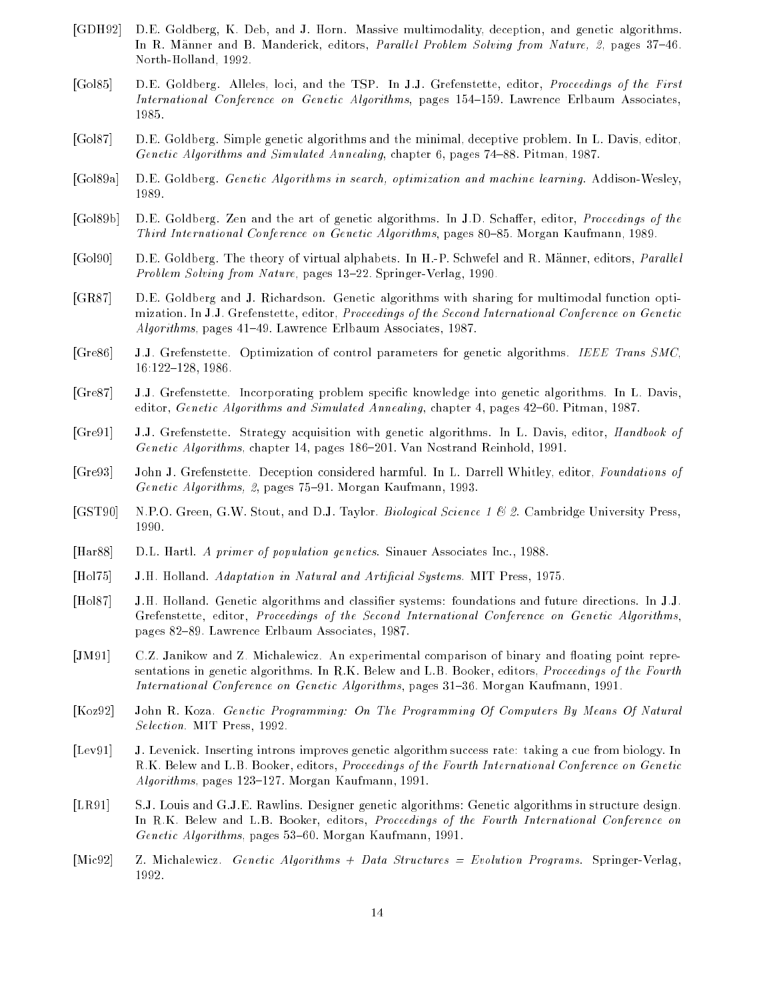- [GDH92] D.E. Goldberg, K. Deb, and J. Horn. Massive multimodality, deception, and genetic algorithms. In R. Männer and B. Manderick, editors, *Parallel Problem Solving from Nature*, 2, pages 37-46. North-Holland, 1992.
- [Gol85] D.E. Goldberg. Alleles, loci, and the TSP. In J.J. Grefenstette, editor, Proceedings of the First International Conference on Genetic Algorithms, pages 154-159. Lawrence Erlbaum Associates, 1985.
- [Gol87] D.E. Goldberg. Simple genetic algorithms and the minimal, deceptive problem. In L. Davis, editor, Genetic Algorithms and Simulated Annealing, chapter 6, pages  $74–88$ . Pitman, 1987.
- [Gol89a] D.E. Goldberg. Genetic Algorithms in search, optimization and machine learning. Addison-Wesley, 1989.
- [Gol89b] D.E. Goldberg. Zen and the art of genetic algorithms. In J.D. Schaffer, editor, *Proceedings of the* Third International Conference on Genetic Algorithms, pages 80-85. Morgan Kaufmann, 1989.
- [Gol90] D.E. Goldberg. The theory of virtual alphabets. In H.-P. Schwefel and R. Männer, editors, *Parallel* Problem Solving from Nature, pages 13-22. Springer-Verlag, 1990.
- [GR87] D.E. Goldberg and J. Richardson. Genetic algorithms with sharing for multimodal function optimization. In J.J. Grefenstette, editor, Proceedings of the Second International Conference on Genetic  $Algorithms$ , pages 41-49. Lawrence Erlbaum Associates, 1987.
- [Gre86] J.J. Grefenstette. Optimization of control parameters for genetic algorithms. IEEE Trans SMC, 16:122-128, 1986.
- [Gre87] J.J. Grefenstette. Incorporating problem specic knowledge into genetic algorithms. In L. Davis, editor, Genetic Algorithms and Simulated Annealing, chapter 4, pages 42-60. Pitman, 1987.
- [Gre91] J.J. Grefenstette. Strategy acquisition with genetic algorithms. In L. Davis, editor, Handbook of Genetic Algorithms, chapter 14, pages 186-201. Van Nostrand Reinhold, 1991.
- [Gre93] John J. Grefenstette. Deception considered harmful. In L. Darrell Whitley, editor, Foundations of Genetic Algorithms, 2, pages 75-91. Morgan Kaufmann, 1993.
- [GST90] N.P.O. Green, G.W. Stout, and D.J. Taylor. *Biological Science 1 & 2*. Cambridge University Press, 1990.
- [Har88] D.L. Hartl. A primer of population genetics. Sinauer Associates Inc., 1988.
- [Hol75] J.H. Holland. Adaptation in Natural and Articial Systems. MIT Press, 1975.
- [Hol87] J.H. Holland. Genetic algorithms and classier systems: foundations and future directions. In J.J. Grefenstette, editor, Proceedings of the Second International Conference on Genetic Algorithms, pages 82-89. Lawrence Erlbaum Associates, 1987.
- [JM91] C.Z. Janikow and Z. Michalewicz. An experimental comparison of binary and floating point representations in genetic algorithms. In R.K. Belew and L.B. Booker, editors, Proceedings of the Fourth International Conference on Genetic Algorithms, pages 31-36. Morgan Kaufmann, 1991.
- [Koz92] John R. Koza. Genetic Programming: On The Programming Of Computers By Means Of Natural Selection. MIT Press, 1992.
- [Lev91] J. Levenick. Inserting introns improves genetic algorithm success rate: taking a cue from biology. In R.K. Belew and L.B. Booker, editors, Proceedings of the Fourth International Conference on Genetic  $Algorithms$ , pages  $123–127$ . Morgan Kaufmann, 1991.
- [LR91] S.J. Louis and G.J.E. Rawlins. Designer genetic algorithms: Genetic algorithms in structure design. In R.K. Belew and L.B. Booker, editors, *Proceedings of the Fourth International Conference on* Genetic Algorithms, pages  $53{-}60$ . Morgan Kaufmann, 1991.
- [Mic92] Z. Michalewicz. Genetic Algorithms + Data Structures = Evolution Programs. Springer-Verlag, 1992.